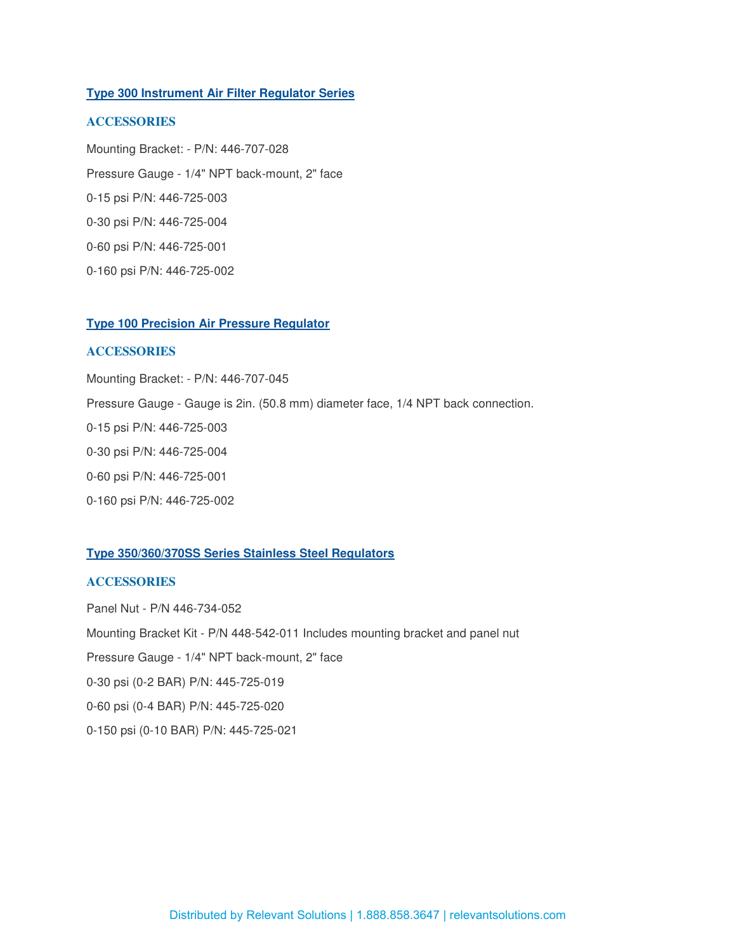# **Type 300 Instrument Air Filter Regulator Series**

# **ACCESSORIES**

Mounting Bracket: - P/N: 446-707-028 Pressure Gauge - 1/4" NPT back-mount, 2" face 0-15 psi P/N: 446-725-003 0-30 psi P/N: 446-725-004 0-60 psi P/N: 446-725-001 0-160 psi P/N: 446-725-002

# **Type 100 Precision Air Pressure Regulator**

# **ACCESSORIES**

Mounting Bracket: - P/N: 446-707-045 Pressure Gauge - Gauge is 2in. (50.8 mm) diameter face, 1/4 NPT back connection. 0-15 psi P/N: 446-725-003 0-30 psi P/N: 446-725-004 0-60 psi P/N: 446-725-001 0-160 psi P/N: 446-725-002

### **Type 350/360/370SS Series Stainless Steel Regulators**

# **ACCESSORIES**

Panel Nut - P/N 446-734-052 Mounting Bracket Kit - P/N 448-542-011 Includes mounting bracket and panel nut Pressure Gauge - 1/4" NPT back-mount, 2" face 0-30 psi (0-2 BAR) P/N: 445-725-019 0-60 psi (0-4 BAR) P/N: 445-725-020 0-150 psi (0-10 BAR) P/N: 445-725-021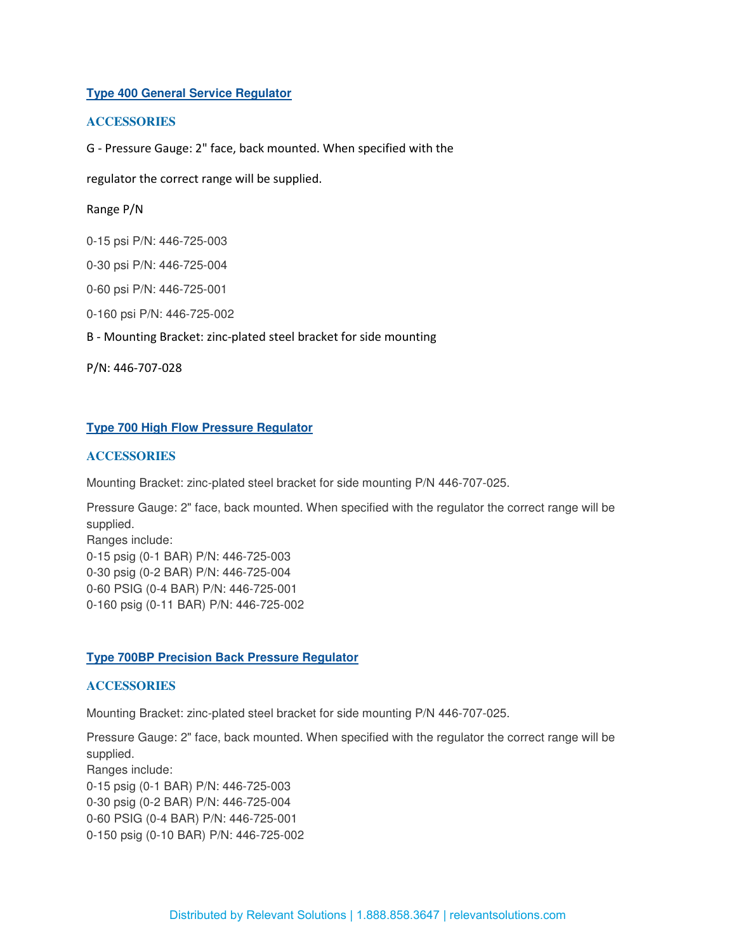# **Type 400 General Service Regulator**

# **ACCESSORIES**

G - Pressure Gauge: 2" face, back mounted. When specified with the

regulator the correct range will be supplied.

## Range P/N

0-15 psi P/N: 446-725-003

0-30 psi P/N: 446-725-004

0-60 psi P/N: 446-725-001

0-160 psi P/N: 446-725-002

B - Mounting Bracket: zinc-plated steel bracket for side mounting

P/N: 446-707-028

## **Type 700 High Flow Pressure Regulator**

# **ACCESSORIES**

Mounting Bracket: zinc-plated steel bracket for side mounting P/N 446-707-025.

Pressure Gauge: 2" face, back mounted. When specified with the regulator the correct range will be supplied.

Ranges include: 0-15 psig (0-1 BAR) P/N: 446-725-003 0-30 psig (0-2 BAR) P/N: 446-725-004 0-60 PSIG (0-4 BAR) P/N: 446-725-001 0-160 psig (0-11 BAR) P/N: 446-725-002

## **Type 700BP Precision Back Pressure Regulator**

## **ACCESSORIES**

Mounting Bracket: zinc-plated steel bracket for side mounting P/N 446-707-025.

Pressure Gauge: 2" face, back mounted. When specified with the regulator the correct range will be supplied. Ranges include: 0-15 psig (0-1 BAR) P/N: 446-725-003 0-30 psig (0-2 BAR) P/N: 446-725-004 0-60 PSIG (0-4 BAR) P/N: 446-725-001 0-150 psig (0-10 BAR) P/N: 446-725-002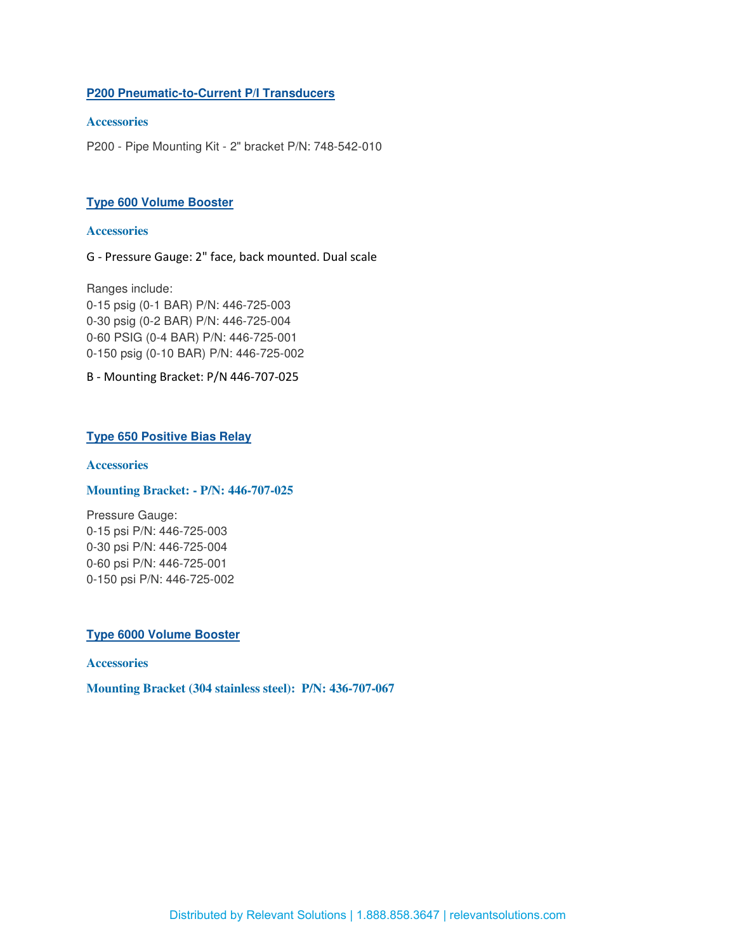# **P200 Pneumatic-to-Current P/I Transducers**

# **Accessories**

P200 - Pipe Mounting Kit - 2" bracket P/N: 748-542-010

# **Type 600 Volume Booster**

#### **Accessories**

G - Pressure Gauge: 2" face, back mounted. Dual scale

Ranges include: 0-15 psig (0-1 BAR) P/N: 446-725-003 0-30 psig (0-2 BAR) P/N: 446-725-004 0-60 PSIG (0-4 BAR) P/N: 446-725-001 0-150 psig (0-10 BAR) P/N: 446-725-002

B - Mounting Bracket: P/N 446-707-025

# **Type 650 Positive Bias Relay**

### **Accessories**

#### **Mounting Bracket: - P/N: 446-707-025**

Pressure Gauge: 0-15 psi P/N: 446-725-003 0-30 psi P/N: 446-725-004 0-60 psi P/N: 446-725-001 0-150 psi P/N: 446-725-002

#### **Type 6000 Volume Booster**

#### **Accessories**

**Mounting Bracket (304 stainless steel): P/N: 436-707-067**